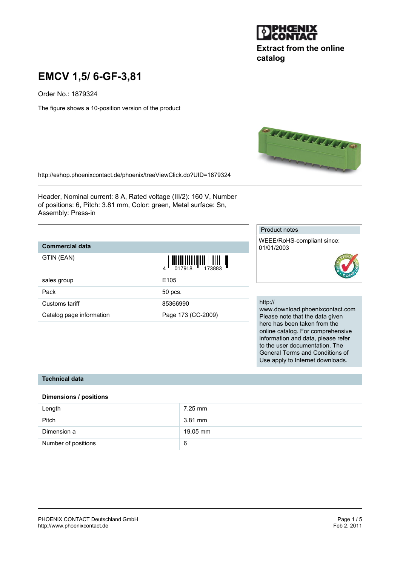

## **Extract from the online catalog**

# **EMCV 1,5/ 6-GF-3,81**

Order No.: 1879324

The figure shows a 10-position version of the product



<http://eshop.phoenixcontact.de/phoenix/treeViewClick.do?UID=1879324>

Header, Nominal current: 8 A, Rated voltage (III/2): 160 V, Number of positions: 6, Pitch: 3.81 mm, Color: green, Metal surface: Sn, Assembly: Press-in

## **Commercial data**

| GTIN (EAN)               | $\begin{array}{c} \begin{array}{c} \begin{array}{c} \end{array}\\ \begin{array}{c} \end{array}\\ \begin{array}{c} \end{array}\\ \begin{array}{c} \end{array}\\ \begin{array}{c} \end{array}\\ \begin{array}{c} \end{array}\\ \begin{array}{c} \end{array}\\ \begin{array}{c} \end{array}\\ \begin{array}{c} \end{array}\\ \begin{array}{c} \end{array}\\ \begin{array}{c} \end{array}\\ \begin{array}{c} \end{array}\\ \begin{array}{c} \end{array}\\ \begin{array}{c} \end{array}\\ \begin{array}{c} \end{array}\\ \begin{array}{c} \end{array}\\ \begin{array}{c} \end{array}\\ \begin$ |
|--------------------------|-------------------------------------------------------------------------------------------------------------------------------------------------------------------------------------------------------------------------------------------------------------------------------------------------------------------------------------------------------------------------------------------------------------------------------------------------------------------------------------------------------------------------------------------------------------------------------------------|
| sales group              | E <sub>105</sub>                                                                                                                                                                                                                                                                                                                                                                                                                                                                                                                                                                          |
| Pack                     | 50 pcs.                                                                                                                                                                                                                                                                                                                                                                                                                                                                                                                                                                                   |
| Customs tariff           | 85366990                                                                                                                                                                                                                                                                                                                                                                                                                                                                                                                                                                                  |
| Catalog page information | Page 173 (CC-2009)                                                                                                                                                                                                                                                                                                                                                                                                                                                                                                                                                                        |

#### Product notes

WEEE/RoHS-compliant since: 01/01/2003



#### http://

www.download.phoenixcontact.com Please note that the data given here has been taken from the online catalog. For comprehensive information and data, please refer to the user documentation. The General Terms and Conditions of Use apply to Internet downloads.

#### **Technical data**

#### **Dimensions / positions**

| Length              | 7.25 mm  |
|---------------------|----------|
| Pitch               | 3.81 mm  |
| Dimension a         | 19.05 mm |
| Number of positions | 6        |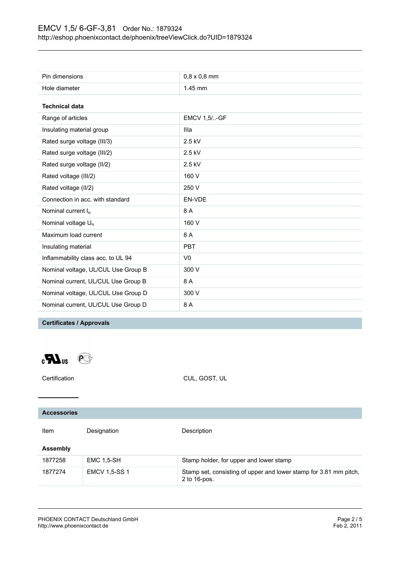| Pin dimensions                      | $0,8 \times 0,8$ mm |  |
|-------------------------------------|---------------------|--|
| Hole diameter                       | $1.45$ mm           |  |
| <b>Technical data</b>               |                     |  |
| Range of articles                   | <b>EMCV 1,5/-GF</b> |  |
| Insulating material group           | Illa                |  |
| Rated surge voltage (III/3)         | 2.5 kV              |  |
| Rated surge voltage (III/2)         | 2.5 kV              |  |
| Rated surge voltage (II/2)          | 2.5 kV              |  |
| Rated voltage (III/2)               | 160 V               |  |
| Rated voltage (II/2)                | 250 V               |  |
| Connection in acc. with standard    | EN-VDE              |  |
| Nominal current $I_N$               | 8 A                 |  |
| Nominal voltage U <sub>N</sub>      | 160 V               |  |
| Maximum load current                | 8A                  |  |
| Insulating material                 | <b>PBT</b>          |  |
| Inflammability class acc. to UL 94  | V <sub>0</sub>      |  |
| Nominal voltage, UL/CUL Use Group B | 300 V               |  |
| Nominal current, UL/CUL Use Group B | 8 A                 |  |
| Nominal voltage, UL/CUL Use Group D | 300 V               |  |
| Nominal current, UL/CUL Use Group D | 8 A                 |  |

#### **Certificates / Approvals**

 $\mathbf{C}$  and  $\mathbf{C}$ 

Certification CUL, GOST, UL

| <b>Accessories</b> |                      |                                                                                   |
|--------------------|----------------------|-----------------------------------------------------------------------------------|
| Item               | Designation          | Description                                                                       |
| <b>Assembly</b>    |                      |                                                                                   |
| 1877258            | <b>EMC 1,5-SH</b>    | Stamp holder, for upper and lower stamp                                           |
| 1877274            | <b>EMCV 1,5-SS 1</b> | Stamp set, consisting of upper and lower stamp for 3.81 mm pitch,<br>2 to 16-pos. |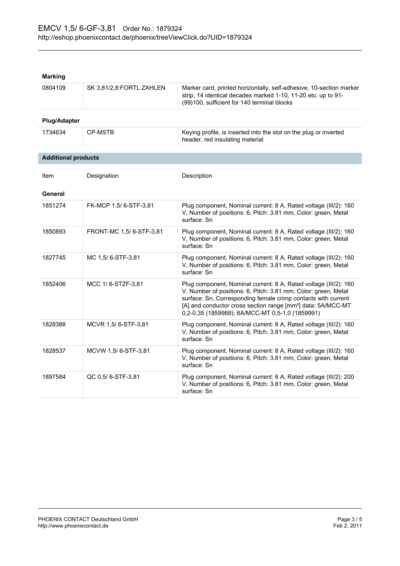| <b>Marking</b> |
|----------------|
|----------------|

| 0804109                    | SK 3,81/2,8:FORTL.ZAHLEN | Marker card, printed horizontally, self-adhesive, 10-section marker<br>strip, 14 identical decades marked 1-10, 11-20 etc. up to 91-<br>(99)100, sufficient for 140 terminal blocks                                                                                                                                                |  |
|----------------------------|--------------------------|------------------------------------------------------------------------------------------------------------------------------------------------------------------------------------------------------------------------------------------------------------------------------------------------------------------------------------|--|
| <b>Plug/Adapter</b>        |                          |                                                                                                                                                                                                                                                                                                                                    |  |
| 1734634                    | <b>CP-MSTB</b>           | Keying profile, is inserted into the slot on the plug or inverted<br>header, red insulating material                                                                                                                                                                                                                               |  |
| <b>Additional products</b> |                          |                                                                                                                                                                                                                                                                                                                                    |  |
| Item                       | Designation              | Description                                                                                                                                                                                                                                                                                                                        |  |
| General                    |                          |                                                                                                                                                                                                                                                                                                                                    |  |
| 1851274                    | FK-MCP 1,5/6-STF-3,81    | Plug component, Nominal current: 8 A, Rated voltage (III/2): 160<br>V, Number of positions: 6, Pitch: 3.81 mm, Color: green, Metal<br>surface: Sn                                                                                                                                                                                  |  |
| 1850893                    | FRONT-MC 1,5/ 6-STF-3,81 | Plug component, Nominal current: 8 A, Rated voltage (III/2): 160<br>V, Number of positions: 6, Pitch: 3.81 mm, Color: green, Metal<br>surface: Sn                                                                                                                                                                                  |  |
| 1827745                    | MC 1,5/6-STF-3,81        | Plug component, Nominal current: 8 A, Rated voltage (III/2): 160<br>V, Number of positions: 6, Pitch: 3.81 mm, Color: green, Metal<br>surface: Sn                                                                                                                                                                                  |  |
| 1852406                    | MCC 1/6-STZF-3,81        | Plug component, Nominal current: 8 A, Rated voltage (III/2): 160<br>V, Number of positions: 6, Pitch: 3.81 mm, Color: green, Metal<br>surface: Sn, Corresponding female crimp contacts with current<br>[A] and conductor cross section range [mm <sup>2</sup> ] data: 5A/MCC-MT<br>0,2-0,35 (1859988); 8A/MCC-MT 0,5-1,0 (1859991) |  |
| 1828388                    | MCVR 1,5/6-STF-3,81      | Plug component, Nominal current: 8 A, Rated voltage (III/2): 160<br>V, Number of positions: 6, Pitch: 3.81 mm, Color: green, Metal<br>surface: Sn                                                                                                                                                                                  |  |
| 1828537                    | MCVW 1,5/6-STF-3,81      | Plug component, Nominal current: 8 A, Rated voltage (III/2): 160<br>V, Number of positions: 6, Pitch: 3.81 mm, Color: green, Metal<br>surface: Sn                                                                                                                                                                                  |  |
| 1897584                    | QC 0,5/6-STF-3,81        | Plug component, Nominal current: 6 A, Rated voltage (III/2): 200<br>V, Number of positions: 6, Pitch: 3.81 mm, Color: green, Metal<br>surface: Sn                                                                                                                                                                                  |  |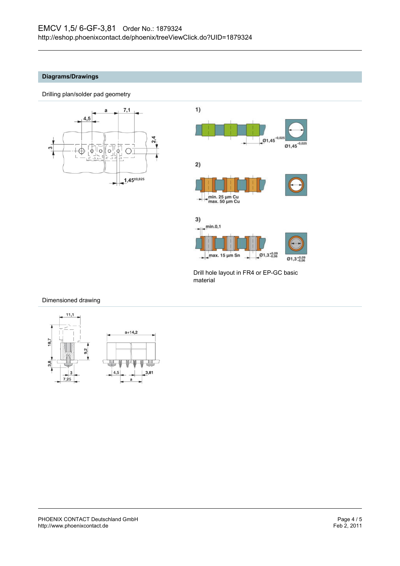## **Diagrams/Drawings**





#### Dimensioned drawing